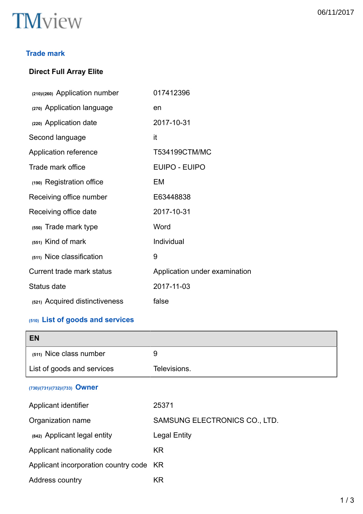

## **Trade mark**

# **Direct Full Array Elite**

| (210)/(260) Application number   | 017412396                     |
|----------------------------------|-------------------------------|
| (270) Application language       | en                            |
| (220) Application date           | 2017-10-31                    |
| Second language                  | it                            |
| Application reference            | T534199CTM/MC                 |
| Trade mark office                | <b>EUIPO - EUIPO</b>          |
| (190) Registration office        | EM                            |
| Receiving office number          | E63448838                     |
| Receiving office date            | 2017-10-31                    |
| (550) Trade mark type            | Word                          |
| (551) Kind of mark               | Individual                    |
| (511) Nice classification        | 9                             |
| <b>Current trade mark status</b> | Application under examination |
| Status date                      | 2017-11-03                    |
| (521) Acquired distinctiveness   | false                         |

# **(510) List of goods and services**

| <b>EN</b>                            |                               |
|--------------------------------------|-------------------------------|
| (511) Nice class number              | 9                             |
| List of goods and services           | Televisions.                  |
| (730)/(731)/(732)/(733) Owner        |                               |
| Applicant identifier                 | 25371                         |
| Organization name                    | SAMSUNG ELECTRONICS CO., LTD. |
| (842) Applicant legal entity         | <b>Legal Entity</b>           |
| Applicant nationality code           | <b>KR</b>                     |
| Applicant incorporation country code | KR.                           |
| Address country                      | <b>KR</b>                     |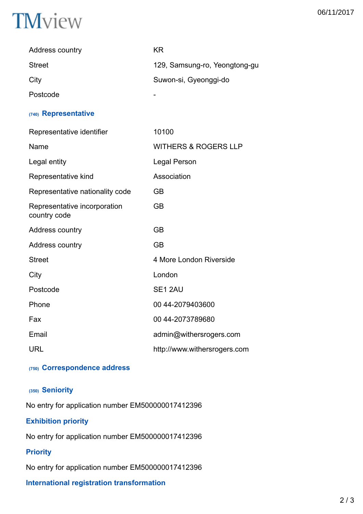

| <b>Address country</b> | ΚR                            |
|------------------------|-------------------------------|
| <b>Street</b>          | 129, Samsung-ro, Yeongtong-gu |
| City                   | Suwon-si, Gyeonggi-do         |
| Postcode               |                               |

#### **(740) Representative**

| Representative identifier                    | 10100                           |
|----------------------------------------------|---------------------------------|
| Name                                         | <b>WITHERS &amp; ROGERS LLP</b> |
| Legal entity                                 | <b>Legal Person</b>             |
| Representative kind                          | Association                     |
| Representative nationality code              | <b>GB</b>                       |
| Representative incorporation<br>country code | <b>GB</b>                       |
| Address country                              | <b>GB</b>                       |
| Address country                              | <b>GB</b>                       |
| <b>Street</b>                                | 4 More London Riverside         |
| City                                         | London                          |
| Postcode                                     | SE1 2AU                         |
| Phone                                        | 00 44-2079403600                |
| Fax                                          | 00 44-2073789680                |
| Email                                        | admin@withersrogers.com         |
| <b>URL</b>                                   | http://www.withersrogers.com    |

### **(750) Correspondence address**

## **(350) Seniority**

No entry for application number EM500000017412396

# **Exhibition priority**

No entry for application number EM500000017412396

## **Priority**

No entry for application number EM500000017412396

## **International registration transformation**